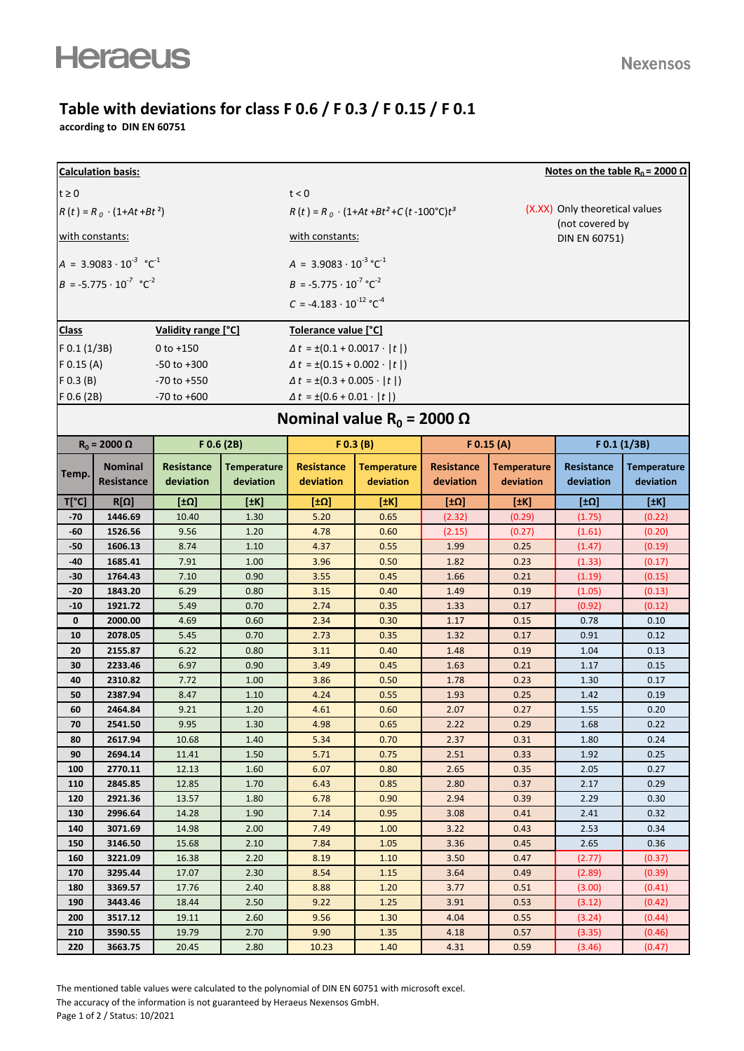## **Table with deviations for class F 0.6 / F 0.3 / F 0.15 / F 0.1**

**according to DIN EN 60751**

| Notes on the table R <sub>0</sub> = 2000 $\Omega$<br><b>Calculation basis:</b> |                              |                                          |                                           |                                                     |                                 |                                |                                  |                                |                                 |  |  |
|--------------------------------------------------------------------------------|------------------------------|------------------------------------------|-------------------------------------------|-----------------------------------------------------|---------------------------------|--------------------------------|----------------------------------|--------------------------------|---------------------------------|--|--|
| $t \geq 0$                                                                     |                              |                                          |                                           | t < 0                                               |                                 |                                |                                  |                                |                                 |  |  |
| $R(t) = R_0 \cdot (1 + At + Bt^2)$                                             |                              |                                          |                                           | $R(t) = R_0 \cdot (1+At+Bt^2+C(t-100^{\circ}C)t^3)$ |                                 |                                | (X.XX) Only theoretical values   |                                |                                 |  |  |
| with constants:                                                                |                              |                                          |                                           | with constants:                                     |                                 |                                | (not covered by<br>DIN EN 60751) |                                |                                 |  |  |
| $A = 3.9083 \cdot 10^{-3} \text{ °C}^1$                                        |                              |                                          |                                           | $A = 3.9083 \cdot 10^{-3} \text{ °C}^{-1}$          |                                 |                                |                                  |                                |                                 |  |  |
|                                                                                |                              |                                          |                                           | $B = -5.775 \cdot 10^{-7} \text{°C}^{-2}$           |                                 |                                |                                  |                                |                                 |  |  |
| $B = -5.775 \cdot 10^{-7} \text{ °C}^{-2}$                                     |                              |                                          |                                           |                                                     |                                 |                                |                                  |                                |                                 |  |  |
|                                                                                |                              |                                          |                                           | $C = -4.183 \cdot 10^{-12}$ °C <sup>-4</sup>        |                                 |                                |                                  |                                |                                 |  |  |
| Validity range [°C]<br><b>Class</b>                                            |                              |                                          |                                           | Tolerance value [°C]                                |                                 |                                |                                  |                                |                                 |  |  |
| $F$ 0.1 (1/3B)                                                                 |                              | $0 to +150$                              |                                           | $\Delta t = \pm (0.1 + 0.0017 \cdot  t )$           |                                 |                                |                                  |                                |                                 |  |  |
| $F$ 0.15 (A)<br>$-50$ to $+300$                                                |                              |                                          | $\Delta t = \pm (0.15 + 0.002 \cdot  t )$ |                                                     |                                 |                                |                                  |                                |                                 |  |  |
| $F$ 0.3 (B)<br>$-70$ to $+550$                                                 |                              | $\Delta t = \pm (0.3 + 0.005 \cdot  t )$ |                                           |                                                     |                                 |                                |                                  |                                |                                 |  |  |
| F 0.6 (2B)<br>$-70$ to $+600$                                                  |                              |                                          |                                           | $\Delta t = \pm (0.6 + 0.01 \cdot  t )$             |                                 |                                |                                  |                                |                                 |  |  |
| Nominal value $R_0 = 2000 \Omega$                                              |                              |                                          |                                           |                                                     |                                 |                                |                                  |                                |                                 |  |  |
| $R_0 = 2000 \Omega$<br>F 0.6 (2B)                                              |                              |                                          |                                           | F(0.3 (B))                                          | $F$ 0.15 (A)                    |                                | F 0.1 (1/3B)                     |                                |                                 |  |  |
|                                                                                |                              |                                          |                                           |                                                     |                                 |                                |                                  |                                |                                 |  |  |
| Temp.                                                                          | <b>Nominal</b><br>Resistance | Resistance<br>deviation                  | <b>Temperature</b><br>deviation           | <b>Resistance</b><br>deviation                      | <b>Temperature</b><br>deviation | <b>Resistance</b><br>deviation | <b>Temperature</b><br>deviation  | <b>Resistance</b><br>deviation | <b>Temperature</b><br>deviation |  |  |
| $T[^{\circ}C]$                                                                 | $R[\Omega]$                  | [±0]                                     | $[$ $+$ K]                                | [±Ω]                                                | [±K]                            | [±Ω]                           | [1K]                             | [±Ω]                           | [±K]                            |  |  |
| $-70$                                                                          | 1446.69                      | 10.40                                    | 1.30                                      | 5.20                                                | 0.65                            | (2.32)                         | (0.29)                           | (1.75)                         | (0.22)                          |  |  |
| -60                                                                            | 1526.56                      | 9.56                                     | 1.20                                      | 4.78                                                | 0.60                            | (2.15)                         | (0.27)                           | (1.61)                         | (0.20)                          |  |  |
| $-50$                                                                          | 1606.13                      | 8.74                                     | 1.10                                      | 4.37                                                | 0.55                            | 1.99                           | 0.25                             | (1.47)                         | (0.19)                          |  |  |
| $-40$                                                                          | 1685.41                      | 7.91                                     | 1.00                                      | 3.96                                                | 0.50                            | 1.82                           | 0.23                             | (1.33)                         | (0.17)                          |  |  |
| $-30$                                                                          | 1764.43                      | 7.10                                     | 0.90                                      | 3.55                                                | 0.45                            | 1.66                           | 0.21                             | (1.19)                         | (0.15)                          |  |  |
| $-20$                                                                          | 1843.20                      | 6.29                                     | 0.80                                      | 3.15                                                | 0.40                            | 1.49                           | 0.19                             | (1.05)                         | (0.13)                          |  |  |
| $-10$                                                                          | 1921.72                      | 5.49                                     | 0.70                                      | 2.74                                                | 0.35                            | 1.33                           | 0.17                             | (0.92)                         | (0.12)                          |  |  |
| $\mathbf 0$                                                                    | 2000.00                      | 4.69                                     | 0.60                                      | 2.34                                                | 0.30                            | 1.17                           | 0.15                             | 0.78                           | 0.10                            |  |  |
| 10                                                                             | 2078.05                      | 5.45                                     | 0.70                                      | 2.73                                                | 0.35                            | 1.32                           | 0.17                             | 0.91                           | 0.12                            |  |  |
| 20                                                                             | 2155.87                      | 6.22                                     | 0.80                                      | 3.11                                                | 0.40                            | 1.48                           | 0.19                             | 1.04                           | 0.13                            |  |  |
| 30                                                                             | 2233.46                      | 6.97                                     | 0.90                                      | 3.49                                                | 0.45                            | 1.63                           | 0.21                             | 1.17                           | 0.15                            |  |  |
| 40                                                                             | 2310.82                      | 7.72                                     | 1.00                                      | 3.86                                                | 0.50                            | 1.78                           | 0.23                             | 1.30                           | 0.17                            |  |  |
| 50                                                                             | 2387.94                      | 8.47                                     | 1.10                                      | 4.24                                                | 0.55                            | 1.93                           | 0.25                             | 1.42                           | 0.19                            |  |  |
| 60                                                                             | 2464.84                      | 9.21                                     | 1.20                                      | 4.61                                                | 0.60                            | 2.07                           | 0.27                             | 1.55                           | 0.20                            |  |  |
| 70                                                                             | 2541.50                      | 9.95                                     | 1.30                                      | 4.98                                                | 0.65                            | 2.22                           | 0.29                             | 1.68                           | 0.22                            |  |  |
| 80                                                                             | 2617.94                      | 10.68                                    | 1.40                                      | 5.34                                                | 0.70                            | 2.37                           | 0.31                             | 1.80                           | 0.24                            |  |  |
| 90                                                                             | 2694.14                      | 11.41                                    | 1.50                                      | 5.71                                                | 0.75                            | 2.51                           | 0.33                             | 1.92                           | 0.25                            |  |  |
| 100                                                                            | 2770.11                      | 12.13                                    | 1.60                                      | 6.07                                                | 0.80                            | 2.65                           | 0.35                             | 2.05                           | 0.27                            |  |  |
| 110                                                                            | 2845.85                      | 12.85                                    | 1.70                                      | 6.43                                                | 0.85                            | 2.80                           | 0.37                             | 2.17                           | 0.29                            |  |  |
| 120<br>130                                                                     | 2921.36<br>2996.64           | 13.57<br>14.28                           | 1.80<br>1.90                              | 6.78<br>7.14                                        | 0.90<br>0.95                    | 2.94<br>3.08                   | 0.39<br>0.41                     | 2.29<br>2.41                   | 0.30<br>0.32                    |  |  |
| 140                                                                            | 3071.69                      | 14.98                                    | 2.00                                      | 7.49                                                | 1.00                            | 3.22                           | 0.43                             | 2.53                           | 0.34                            |  |  |
| 150                                                                            | 3146.50                      | 15.68                                    | 2.10                                      | 7.84                                                | 1.05                            | 3.36                           | 0.45                             | 2.65                           | 0.36                            |  |  |
| 160                                                                            | 3221.09                      | 16.38                                    | 2.20                                      | 8.19                                                | 1.10                            | 3.50                           | 0.47                             | (2.77)                         | (0.37)                          |  |  |
| 170                                                                            | 3295.44                      | 17.07                                    | 2.30                                      | 8.54                                                | 1.15                            | 3.64                           | 0.49                             | (2.89)                         | (0.39)                          |  |  |
| 180                                                                            | 3369.57                      | 17.76                                    | 2.40                                      | 8.88                                                | 1.20                            | 3.77                           | 0.51                             | (3.00)                         | (0.41)                          |  |  |
| 190                                                                            | 3443.46                      | 18.44                                    | 2.50                                      | 9.22                                                | 1.25                            | 3.91                           | 0.53                             | (3.12)                         | (0.42)                          |  |  |
| 200                                                                            | 3517.12                      | 19.11                                    | 2.60                                      | 9.56                                                | 1.30                            | 4.04                           | 0.55                             | (3.24)                         | (0.44)                          |  |  |
| 210                                                                            | 3590.55                      | 19.79                                    | 2.70                                      | 9.90                                                | 1.35                            | 4.18                           | 0.57                             | (3.35)                         | (0.46)                          |  |  |
| 220                                                                            | 3663.75                      | 20.45                                    | 2.80                                      | 10.23                                               | 1.40                            | 4.31                           | 0.59                             | (3.46)                         | (0.47)                          |  |  |
|                                                                                |                              |                                          |                                           |                                                     |                                 |                                |                                  |                                |                                 |  |  |

The mentioned table values were calculated to the polynomial of DIN EN 60751 with microsoft excel. The accuracy of the information is not guaranteed by Heraeus Nexensos GmbH. Page 1 of 2 / Status: 10/2021